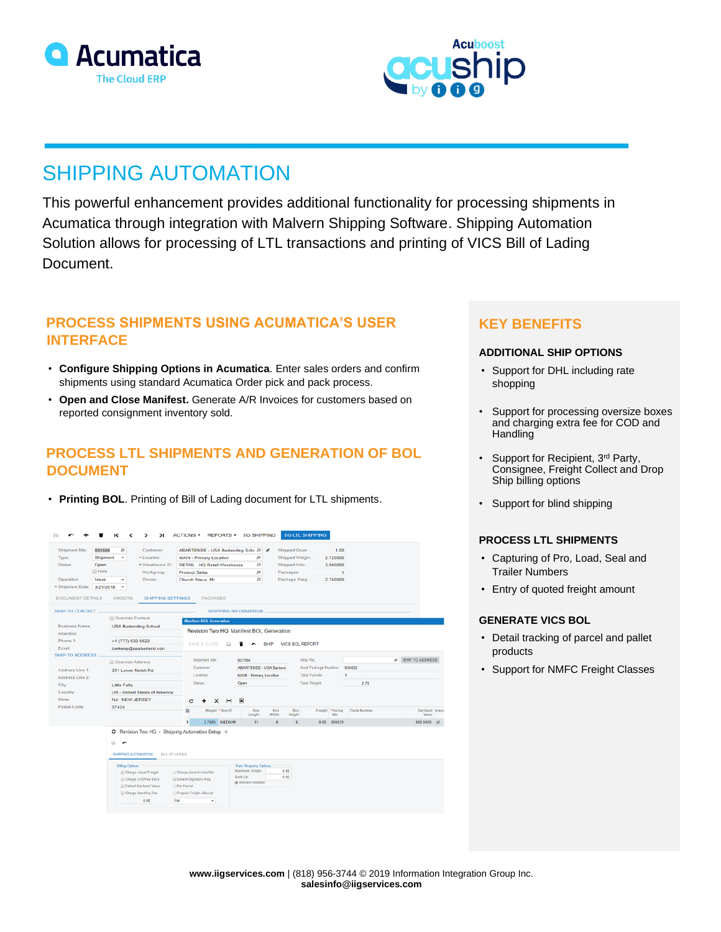



# SHIPPING AUTOMATION

This powerful enhancement provides additional functionality for processing shipments in Acumatica through integration with Malvern Shipping Software. Shipping Automation Solution allows for processing of LTL transactions and printing of VICS Bill of Lading Document.

### **PROCESS SHIPMENTS USING ACUMATICA'S USER INTERFACE**

- **Configure Shipping Options in Acumatica**. Enter sales orders and confirm shipments using standard Acumatica Order pick and pack process.
- **Open and Close Manifest.** Generate A/R Invoices for customers based on reported consignment inventory sold.

# **PROCESS LTL SHIPMENTS AND GENERATION OF BOL DOCUMENT**

• **Printing BOL**. Printing of Bill of Lading document for LTL shipments.

|                                                                                                                                                                                                          |                                                                                                                                 | ы                                                                                                                               | <b>ACTIONS +</b>                                                                                         |                                                                                                                            | <b>REPORTS +</b>                                                    | <b>IIG SHIPPING</b>                                                                    |                   |                                                                               | <b>IIG LTL SHIPPING</b> |                                                |                     |                          |                                            |  |
|----------------------------------------------------------------------------------------------------------------------------------------------------------------------------------------------------------|---------------------------------------------------------------------------------------------------------------------------------|---------------------------------------------------------------------------------------------------------------------------------|----------------------------------------------------------------------------------------------------------|----------------------------------------------------------------------------------------------------------------------------|---------------------------------------------------------------------|----------------------------------------------------------------------------------------|-------------------|-------------------------------------------------------------------------------|-------------------------|------------------------------------------------|---------------------|--------------------------|--------------------------------------------|--|
| Shipment Nbr.:<br>001556<br>Shipment<br>Type:<br>Status:<br>Open<br><b>Hold</b><br>Operation:<br>Issue<br>* Shipment Date:<br>3/21/2018<br><b>DOCUMENT DETAILS</b><br>SHIP-TO CONTACT.<br>Business Name: | o<br>$\!\!\!\!$<br>$\;$<br><b>ORDERS</b><br>Override Contact                                                                    | Customer:<br>* Location:<br>* Warehouse ID:<br>Workgroup:<br>Owner:<br><b>SHIPPING SETTINGS</b><br><b>USA Bartending School</b> | <b>Product Sales</b><br>Church Steve, Mr.                                                                | <b>MAIN - Primary Location</b><br><b>RETAIL - HQ Retail Warehouse</b><br><b>PACKAGES</b><br><b>Manifest BOL Generation</b> |                                                                     | ABARTENDE - USA Bartending Schc Q &<br>Ω<br>ρ<br>Ω<br>Ω<br><b>SHIPPING INFORMATION</b> |                   | Shipped Quan<br>Shipped Weight:<br>Shipped Volu<br>Packages:<br>Package Weig. |                         | 1.00<br>2.720000<br>3.000000<br>H.<br>2.750000 |                     |                          |                                            |  |
| Attention:<br>Phone 1:<br>Email:<br><b>SHIP-TO ADDRESS</b>                                                                                                                                               | +1 (777) 532-9522                                                                                                               | barkeep@usabartend.con                                                                                                          |                                                                                                          | SAVE & CLOSE                                                                                                               |                                                                     | Revision Two HQ Manifest BOL Generation                                                | <b>SHIP</b>       | <b>VICS BOL REPORT</b>                                                        |                         |                                                |                     |                          |                                            |  |
| Address Line 1:<br>Address Line 2:                                                                                                                                                                       | Override Address<br>201 Lower Notch Rd<br><b>Little Falls</b><br><b>US - United States of America</b><br><b>NJ - NEW JERSEY</b> |                                                                                                                                 | Shipment Nbr:<br>Customer.<br>Location:                                                                  |                                                                                                                            | 001556<br><b>ABARTENDE - USA Bartend</b><br>MAIN - Primary Location |                                                                                        |                   | Ship Via:<br>Next Package Number:<br><b>Total Parcels:</b>                    |                         | 000032<br>$\mathbf{1}$                         |                     | <b>P</b> SHIP TO ADDRESS |                                            |  |
| City:<br>Country:<br>State:                                                                                                                                                                              |                                                                                                                                 |                                                                                                                                 |                                                                                                          | <b>Status:</b><br>c<br>×                                                                                                   |                                                                     | Open<br>$\pmb{\times}$                                                                 |                   |                                                                               | <b>Total Weight</b>     |                                                | 2.75                |                          |                                            |  |
| Postal Code:                                                                                                                                                                                             | 07424                                                                                                                           |                                                                                                                                 | 脂<br>,                                                                                                   | Weight *Box ID<br>2.7500 MEDIUM                                                                                            |                                                                     | Box<br>Length<br>11                                                                    | Box<br>Width<br>8 | Box<br>Height<br>5                                                            |                         | Freight *Packag<br><b>N</b> br<br>0.00 000031  | <b>Track Number</b> |                          | Declared Insur<br>Value<br>500,0000 $\Box$ |  |
|                                                                                                                                                                                                          | a<br>$\overline{\phantom{a}}$<br>SHIPPING AUTOMATION                                                                            | ○ Revision Two HQ - Shipping Automation Setup $\pm$<br><b>BILL OF LADING</b>                                                    |                                                                                                          |                                                                                                                            |                                                                     |                                                                                        |                   |                                                                               |                         |                                                |                     |                          |                                            |  |
|                                                                                                                                                                                                          | <b>Billing Options</b>                                                                                                          | Charge Actual Freight<br>Charge CODFee Extra<br><b>ID</b> Default Declared Value<br>Charge Handling Fee<br>0.00                 | Charge Zero Invoice Nbr<br><b>Default Signature Req</b><br>Per Parcel<br>Prepaid Freight Allowed<br>List | ٠                                                                                                                          |                                                                     | Rate Shopping Options<br>Maximum Weight<br>Mark Up:<br>Malvern Installed               |                   | 0.00<br>0.00                                                                  |                         |                                                |                     |                          |                                            |  |

## **KEY BENEFITS**

### **ADDITIONAL SHIP OPTIONS**

- Support for DHL including rate shopping
- Support for processing oversize boxes and charging extra fee for COD and **Handling**
- Support for Recipient, 3rd Party, Consignee, Freight Collect and Drop Ship billing options
- Support for blind shipping

### **PROCESS LTL SHIPMENTS**

- Capturing of Pro, Load, Seal and Trailer Numbers
- Entry of quoted freight amount

### **GENERATE VICS BOL**

- Detail tracking of parcel and pallet products
- Support for NMFC Freight Classes